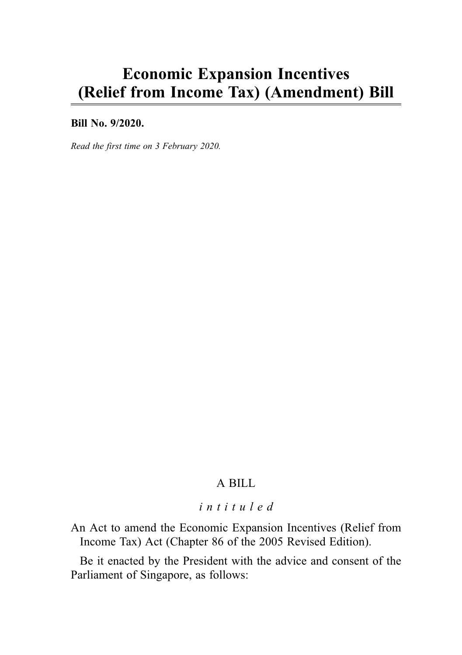# Economic Expansion Incentives (Relief from Income Tax) (Amendment) Bill

#### Bill No. 9/2020.

Read the first time on 3 February 2020.

#### A BILL

#### intituled

An Act to amend the Economic Expansion Incentives (Relief from Income Tax) Act (Chapter 86 of the 2005 Revised Edition).

Be it enacted by the President with the advice and consent of the Parliament of Singapore, as follows: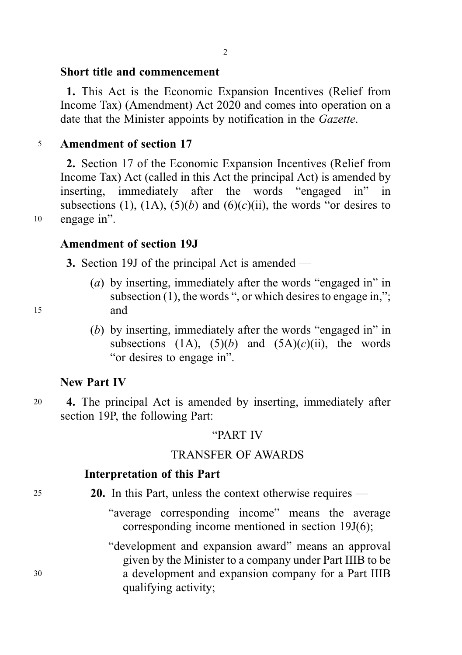# Short title and commencement

1. This Act is the Economic Expansion Incentives (Relief from Income Tax) (Amendment) Act 2020 and comes into operation on a date that the Minister appoints by notification in the Gazette.

# <sup>5</sup> Amendment of section 17

2. Section 17 of the Economic Expansion Incentives (Relief from Income Tax) Act (called in this Act the principal Act) is amended by inserting, immediately after the words "engaged in" in subsections (1), (1A), (5)(b) and (6)(c)(ii), the words "or desires to <sup>10</sup> engage in".

# Amendment of section 19J

3. Section 19J of the principal Act is amended —

- (a) by inserting, immediately after the words "engaged in" in subsection (1), the words ", or which desires to engage in,"; <sup>15</sup> and
	- (b) by inserting, immediately after the words "engaged in" in subsections  $(1A)$ ,  $(5)(b)$  and  $(5A)(c)(ii)$ , the words "or desires to engage in".

# New Part IV

<sup>20</sup> 4. The principal Act is amended by inserting, immediately after section 19P, the following Part:

#### "PART IV

### TRANSFER OF AWARDS

#### Interpretation of this Part

<sup>25</sup> 20. In this Part, unless the context otherwise requires —

"average corresponding income" means the average corresponding income mentioned in section 19J(6);

"development and expansion award" means an approval given by the Minister to a company under Part IIIB to be <sup>30</sup> a development and expansion company for a Part IIIB qualifying activity;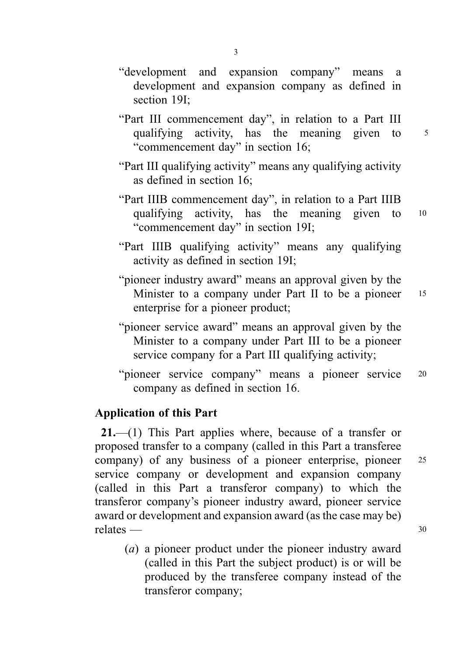- "development and expansion company" means a development and expansion company as defined in section 19I;
- "Part III commencement day", in relation to a Part III qualifying activity, has the meaning given to 5 "commencement day" in section 16;
- "Part III qualifying activity" means any qualifying activity as defined in section 16;
- "Part IIIB commencement day", in relation to a Part IIIB qualifying activity, has the meaning given to <sup>10</sup> "commencement day" in section 19I;

- "Part IIIB qualifying activity" means any qualifying activity as defined in section 19I;
- "pioneer industry award" means an approval given by the Minister to a company under Part II to be a pioneer 15 enterprise for a pioneer product;
- "pioneer service award" means an approval given by the Minister to a company under Part III to be a pioneer service company for a Part III qualifying activity;
- "pioneer service company" means a pioneer service <sup>20</sup> company as defined in section 16.

#### Application of this Part

21.—(1) This Part applies where, because of a transfer or proposed transfer to a company (called in this Part a transferee company) of any business of a pioneer enterprise, pioneer <sup>25</sup> service company or development and expansion company (called in this Part a transferor company) to which the transferor company's pioneer industry award, pioneer service award or development and expansion award (as the case may be)  $relates$  — 30

(a) a pioneer product under the pioneer industry award (called in this Part the subject product) is or will be produced by the transferee company instead of the transferor company;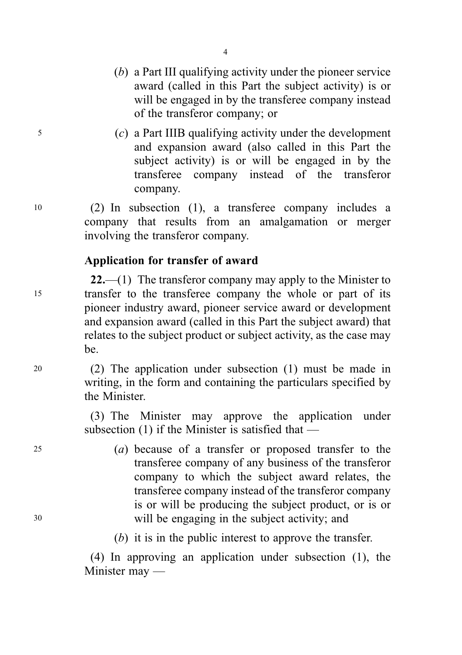- (b) a Part III qualifying activity under the pioneer service award (called in this Part the subject activity) is or will be engaged in by the transferee company instead of the transferor company; or
- <sup>5</sup> (c) a Part IIIB qualifying activity under the development and expansion award (also called in this Part the subject activity) is or will be engaged in by the transferee company instead of the transferor company.

<sup>10</sup> (2) In subsection (1), a transferee company includes a company that results from an amalgamation or merger involving the transferor company.

## Application for transfer of award

22.—(1) The transferor company may apply to the Minister to <sup>15</sup> transfer to the transferee company the whole or part of its pioneer industry award, pioneer service award or development and expansion award (called in this Part the subject award) that relates to the subject product or subject activity, as the case may be.

<sup>20</sup> (2) The application under subsection (1) must be made in writing, in the form and containing the particulars specified by the Minister.

> (3) The Minister may approve the application under subsection (1) if the Minister is satisfied that —

- <sup>25</sup> (a) because of a transfer or proposed transfer to the transferee company of any business of the transferor company to which the subject award relates, the transferee company instead of the transferor company is or will be producing the subject product, or is or <sup>30</sup> will be engaging in the subject activity; and
	- (b) it is in the public interest to approve the transfer.

(4) In approving an application under subsection (1), the Minister may —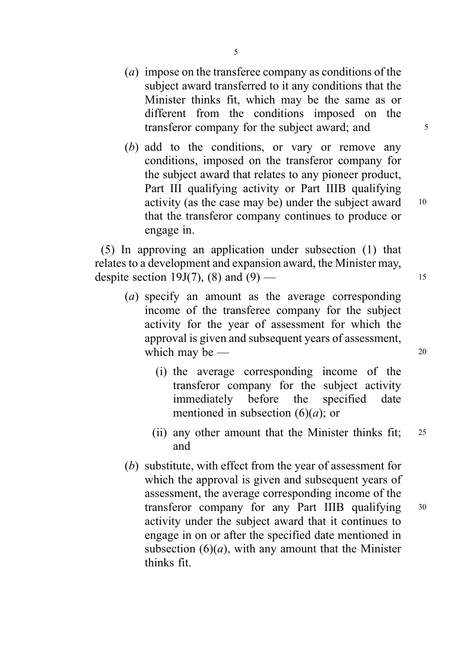- (a) impose on the transferee company as conditions of the subject award transferred to it any conditions that the Minister thinks fit, which may be the same as or different from the conditions imposed on the transferor company for the subject award; and  $5\frac{1}{2}$
- (b) add to the conditions, or vary or remove any conditions, imposed on the transferor company for the subject award that relates to any pioneer product, Part III qualifying activity or Part IIIB qualifying activity (as the case may be) under the subject award  $10$ that the transferor company continues to produce or engage in.

(5) In approving an application under subsection (1) that relates to a development and expansion award, the Minister may, despite section 19J(7), (8) and (9) — 15

- (a) specify an amount as the average corresponding income of the transferee company for the subject activity for the year of assessment for which the approval is given and subsequent years of assessment, which may be  $\sim$  20
	- (i) the average corresponding income of the transferor company for the subject activity immediately before the specified date mentioned in subsection  $(6)(a)$ ; or
	- (ii) any other amount that the Minister thinks fit; <sup>25</sup> and
- (b) substitute, with effect from the year of assessment for which the approval is given and subsequent years of assessment, the average corresponding income of the transferor company for any Part IIIB qualifying <sup>30</sup> activity under the subject award that it continues to engage in on or after the specified date mentioned in subsection  $(6)(a)$ , with any amount that the Minister thinks fit.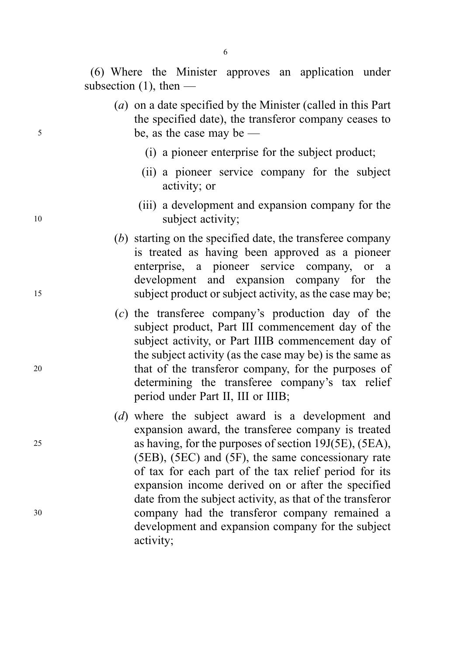(6) Where the Minister approves an application under subsection  $(1)$ , then —

- (a) on a date specified by the Minister (called in this Part the specified date), the transferor company ceases to <sup>5</sup> be, as the case may be —
	- (i) a pioneer enterprise for the subject product;
	- (ii) a pioneer service company for the subject activity; or
- (iii) a development and expansion company for the 10 subject activity;
- (b) starting on the specified date, the transferee company is treated as having been approved as a pioneer enterprise, a pioneer service company, or a development and expansion company for the <sup>15</sup> subject product or subject activity, as the case may be;
- (c) the transferee company's production day of the subject product, Part III commencement day of the subject activity, or Part IIIB commencement day of the subject activity (as the case may be) is the same as <sup>20</sup> that of the transferor company, for the purposes of determining the transferee company's tax relief period under Part II, III or IIIB;
- (d) where the subject award is a development and expansion award, the transferee company is treated <sup>25</sup> as having, for the purposes of section 19J(5E), (5EA), (5EB), (5EC) and (5F), the same concessionary rate of tax for each part of the tax relief period for its expansion income derived on or after the specified date from the subject activity, as that of the transferor <sup>30</sup> company had the transferor company remained a development and expansion company for the subject activity;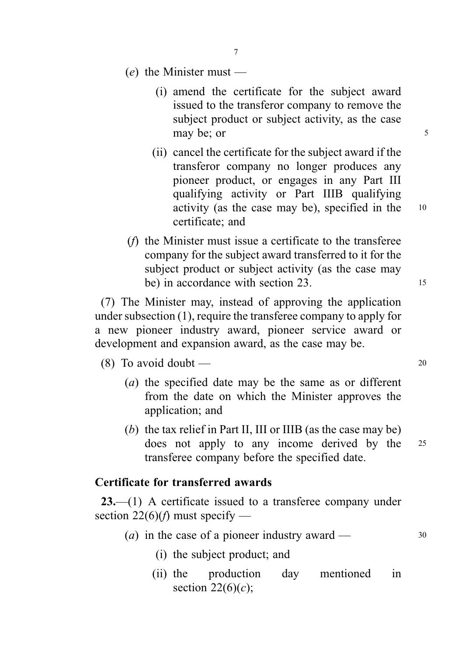- $(e)$  the Minister must
	- (i) amend the certificate for the subject award issued to the transferor company to remove the subject product or subject activity, as the case may be; or 5
	- (ii) cancel the certificate for the subject award if the transferor company no longer produces any pioneer product, or engages in any Part III qualifying activity or Part IIIB qualifying activity (as the case may be), specified in the <sup>10</sup> certificate; and
- (f) the Minister must issue a certificate to the transferee company for the subject award transferred to it for the subject product or subject activity (as the case may be) in accordance with section 23.

(7) The Minister may, instead of approving the application under subsection (1), require the transferee company to apply for a new pioneer industry award, pioneer service award or development and expansion award, as the case may be.

(8) To avoid doubt  $\sim$  20

- (a) the specified date may be the same as or different from the date on which the Minister approves the application; and
- (b) the tax relief in Part II, III or IIIB (as the case may be) does not apply to any income derived by the <sup>25</sup> transferee company before the specified date.

# Certificate for transferred awards

23.—(1) A certificate issued to a transferee company under section  $22(6)(f)$  must specify —

- (*a*) in the case of a pioneer industry award  $\frac{1}{2}$  30
	- (i) the subject product; and
	- (ii) the production day mentioned in section 22 $(6)(c)$ ;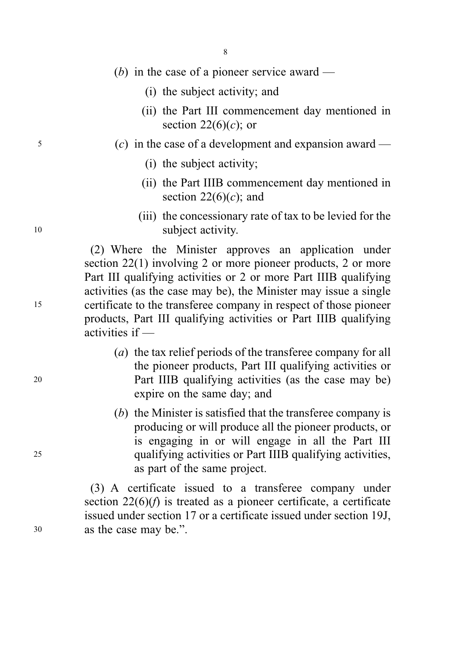- (b) in the case of a pioneer service award
	- (i) the subject activity; and
	- (ii) the Part III commencement day mentioned in section  $22(6)(c)$ ; or
- <sup>5</sup> (c) in the case of a development and expansion award
	- (i) the subject activity;
	- (ii) the Part IIIB commencement day mentioned in section  $22(6)(c)$ ; and
- (iii) the concessionary rate of tax to be levied for the 10 subject activity.

(2) Where the Minister approves an application under section 22(1) involving 2 or more pioneer products, 2 or more Part III qualifying activities or 2 or more Part IIIB qualifying activities (as the case may be), the Minister may issue a single <sup>15</sup> certificate to the transferee company in respect of those pioneer products, Part III qualifying activities or Part IIIB qualifying activities if —

- (a) the tax relief periods of the transferee company for all the pioneer products, Part III qualifying activities or <sup>20</sup> Part IIIB qualifying activities (as the case may be) expire on the same day; and
- (b) the Minister is satisfied that the transferee company is producing or will produce all the pioneer products, or is engaging in or will engage in all the Part III <sup>25</sup> qualifying activities or Part IIIB qualifying activities, as part of the same project.

(3) A certificate issued to a transferee company under section  $22(6)(f)$  is treated as a pioneer certificate, a certificate issued under section 17 or a certificate issued under section 19J, <sup>30</sup> as the case may be.".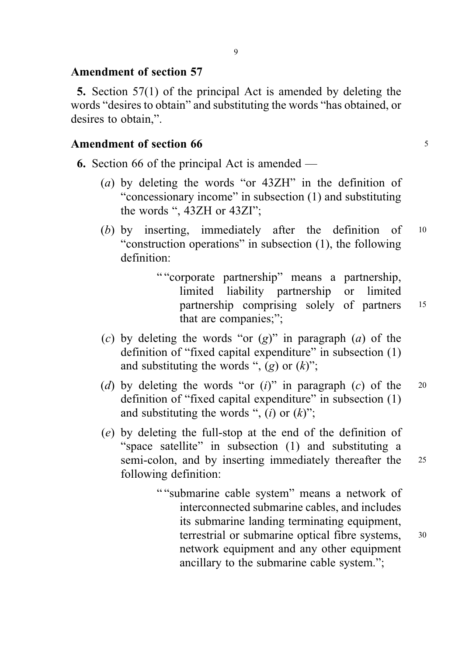#### Amendment of section 57

5. Section 57(1) of the principal Act is amended by deleting the words "desires to obtain" and substituting the words "has obtained, or desires to obtain,".

#### Amendment of section 66 <sup>5</sup>

- 6. Section 66 of the principal Act is amended
	- (a) by deleting the words "or 43ZH" in the definition of "concessionary income" in subsection (1) and substituting the words ", 43ZH or 43ZI";
	- (b) by inserting, immediately after the definition of 10 "construction operations" in subsection (1), the following definition:
		- " "corporate partnership" means a partnership, limited liability partnership or limited partnership comprising solely of partners <sup>15</sup> that are companies;";
	- (c) by deleting the words "or  $(g)$ " in paragraph  $(a)$  of the definition of "fixed capital expenditure" in subsection (1) and substituting the words ",  $(q)$  or  $(k)$ ";
	- (d) by deleting the words "or  $(i)$ " in paragraph (c) of the 20 definition of "fixed capital expenditure" in subsection (1) and substituting the words ",  $(i)$  or  $(k)$ ";
	- (e) by deleting the full-stop at the end of the definition of "space satellite" in subsection (1) and substituting a semi-colon, and by inserting immediately thereafter the 25 following definition:
		- " "submarine cable system" means a network of interconnected submarine cables, and includes its submarine landing terminating equipment, terrestrial or submarine optical fibre systems, <sup>30</sup> network equipment and any other equipment ancillary to the submarine cable system.";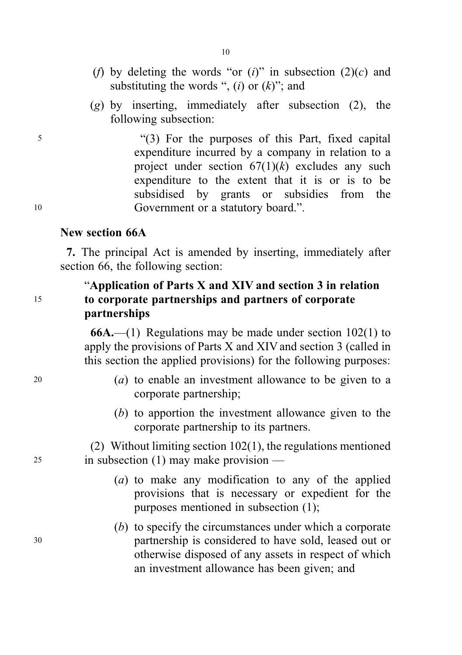- (f) by deleting the words "or  $(i)$ " in subsection  $(2)(c)$  and substituting the words ", (i) or  $(k)$ "; and
- $(g)$  by inserting, immediately after subsection (2), the following subsection:

<sup>5</sup> "(3) For the purposes of this Part, fixed capital expenditure incurred by a company in relation to a project under section  $67(1)(k)$  excludes any such expenditure to the extent that it is or is to be subsidised by grants or subsidies from the 10 Government or a statutory board.".

# New section 66A

7. The principal Act is amended by inserting, immediately after section 66, the following section:

# "Application of Parts X and XIV and section 3 in relation <sup>15</sup> to corporate partnerships and partners of corporate partnerships

66A.—(1) Regulations may be made under section 102(1) to apply the provisions of Parts X and XIV and section 3 (called in this section the applied provisions) for the following purposes:

- <sup>20</sup> (a) to enable an investment allowance to be given to a corporate partnership;
	- (b) to apportion the investment allowance given to the corporate partnership to its partners.

(2) Without limiting section 102(1), the regulations mentioned <sup>25</sup> in subsection (1) may make provision —

- (a) to make any modification to any of the applied provisions that is necessary or expedient for the purposes mentioned in subsection (1);
- (b) to specify the circumstances under which a corporate <sup>30</sup> partnership is considered to have sold, leased out or otherwise disposed of any assets in respect of which an investment allowance has been given; and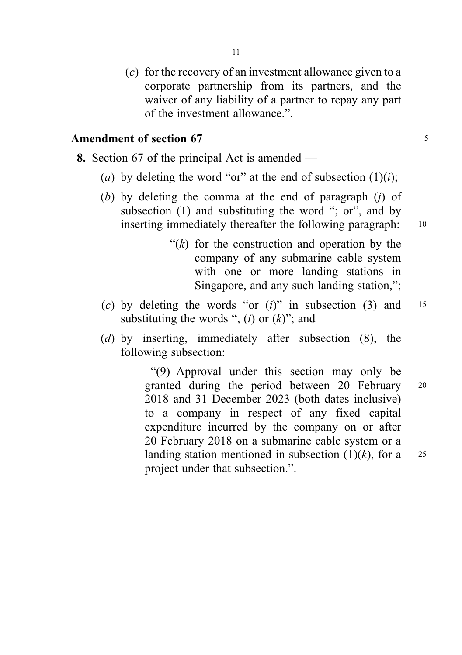(c) for the recovery of an investment allowance given to a corporate partnership from its partners, and the waiver of any liability of a partner to repay any part of the investment allowance.".

# Amendment of section 67 <sup>5</sup>

8. Section 67 of the principal Act is amended —

- (a) by deleting the word "or" at the end of subsection  $(1)(i)$ ;
- (b) by deleting the comma at the end of paragraph (j) of subsection (1) and substituting the word "; or", and by inserting immediately thereafter the following paragraph: 10
	- " $(k)$  for the construction and operation by the company of any submarine cable system with one or more landing stations in Singapore, and any such landing station,";
- (c) by deleting the words "or  $(i)$ " in subsection (3) and 15 substituting the words ", (i) or  $(k)$ "; and
- (d) by inserting, immediately after subsection (8), the following subsection:

"(9) Approval under this section may only be granted during the period between 20 February <sup>20</sup> 2018 and 31 December 2023 (both dates inclusive) to a company in respect of any fixed capital expenditure incurred by the company on or after 20 February 2018 on a submarine cable system or a landing station mentioned in subsection  $(1)(k)$ , for a 25 project under that subsection.".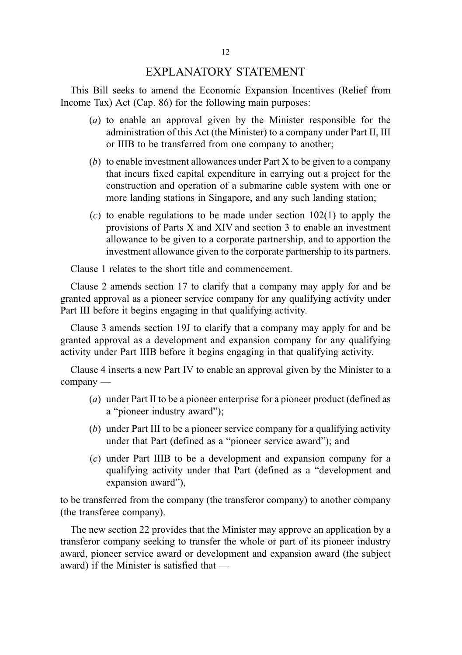#### EXPLANATORY STATEMENT

This Bill seeks to amend the Economic Expansion Incentives (Relief from Income Tax) Act (Cap. 86) for the following main purposes:

- (a) to enable an approval given by the Minister responsible for the administration of this Act (the Minister) to a company under Part II, III or IIIB to be transferred from one company to another;
- (b) to enable investment allowances under Part X to be given to a company that incurs fixed capital expenditure in carrying out a project for the construction and operation of a submarine cable system with one or more landing stations in Singapore, and any such landing station;
- (c) to enable regulations to be made under section  $102(1)$  to apply the provisions of Parts X and XIV and section 3 to enable an investment allowance to be given to a corporate partnership, and to apportion the investment allowance given to the corporate partnership to its partners.

Clause 1 relates to the short title and commencement.

Clause 2 amends section 17 to clarify that a company may apply for and be granted approval as a pioneer service company for any qualifying activity under Part III before it begins engaging in that qualifying activity.

Clause 3 amends section 19J to clarify that a company may apply for and be granted approval as a development and expansion company for any qualifying activity under Part IIIB before it begins engaging in that qualifying activity.

Clause 4 inserts a new Part IV to enable an approval given by the Minister to a company —

- (a) under Part II to be a pioneer enterprise for a pioneer product (defined as a "pioneer industry award");
- (b) under Part III to be a pioneer service company for a qualifying activity under that Part (defined as a "pioneer service award"); and
- (c) under Part IIIB to be a development and expansion company for a qualifying activity under that Part (defined as a "development and expansion award"),

to be transferred from the company (the transferor company) to another company (the transferee company).

The new section 22 provides that the Minister may approve an application by a transferor company seeking to transfer the whole or part of its pioneer industry award, pioneer service award or development and expansion award (the subject award) if the Minister is satisfied that —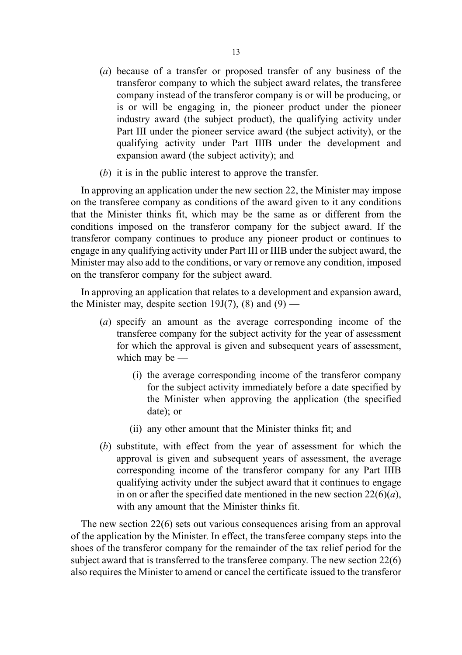- (a) because of a transfer or proposed transfer of any business of the transferor company to which the subject award relates, the transferee company instead of the transferor company is or will be producing, or is or will be engaging in, the pioneer product under the pioneer industry award (the subject product), the qualifying activity under Part III under the pioneer service award (the subject activity), or the qualifying activity under Part IIIB under the development and expansion award (the subject activity); and
- (b) it is in the public interest to approve the transfer.

In approving an application under the new section 22, the Minister may impose on the transferee company as conditions of the award given to it any conditions that the Minister thinks fit, which may be the same as or different from the conditions imposed on the transferor company for the subject award. If the transferor company continues to produce any pioneer product or continues to engage in any qualifying activity under Part III or IIIB under the subject award, the Minister may also add to the conditions, or vary or remove any condition, imposed on the transferor company for the subject award.

In approving an application that relates to a development and expansion award, the Minister may, despite section 19J(7), (8) and (9) —

- (a) specify an amount as the average corresponding income of the transferee company for the subject activity for the year of assessment for which the approval is given and subsequent years of assessment. which may be —
	- (i) the average corresponding income of the transferor company for the subject activity immediately before a date specified by the Minister when approving the application (the specified date); or
	- (ii) any other amount that the Minister thinks fit; and
- (b) substitute, with effect from the year of assessment for which the approval is given and subsequent years of assessment, the average corresponding income of the transferor company for any Part IIIB qualifying activity under the subject award that it continues to engage in on or after the specified date mentioned in the new section  $22(6)(a)$ , with any amount that the Minister thinks fit.

The new section 22(6) sets out various consequences arising from an approval of the application by the Minister. In effect, the transferee company steps into the shoes of the transferor company for the remainder of the tax relief period for the subject award that is transferred to the transferee company. The new section 22(6) also requires the Minister to amend or cancel the certificate issued to the transferor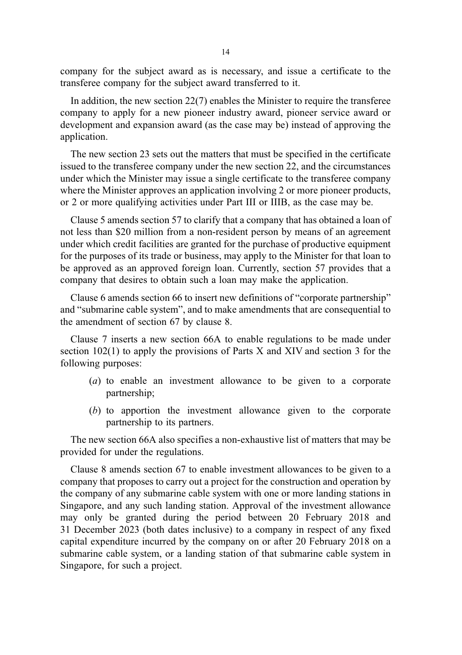company for the subject award as is necessary, and issue a certificate to the transferee company for the subject award transferred to it.

In addition, the new section 22(7) enables the Minister to require the transferee company to apply for a new pioneer industry award, pioneer service award or development and expansion award (as the case may be) instead of approving the application.

The new section 23 sets out the matters that must be specified in the certificate issued to the transferee company under the new section 22, and the circumstances under which the Minister may issue a single certificate to the transferee company where the Minister approves an application involving 2 or more pioneer products, or 2 or more qualifying activities under Part III or IIIB, as the case may be.

Clause 5 amends section 57 to clarify that a company that has obtained a loan of not less than \$20 million from a non-resident person by means of an agreement under which credit facilities are granted for the purchase of productive equipment for the purposes of its trade or business, may apply to the Minister for that loan to be approved as an approved foreign loan. Currently, section 57 provides that a company that desires to obtain such a loan may make the application.

Clause 6 amends section 66 to insert new definitions of "corporate partnership" and "submarine cable system", and to make amendments that are consequential to the amendment of section 67 by clause 8.

Clause 7 inserts a new section 66A to enable regulations to be made under section 102(1) to apply the provisions of Parts X and XIV and section 3 for the following purposes:

- (a) to enable an investment allowance to be given to a corporate partnership;
- (b) to apportion the investment allowance given to the corporate partnership to its partners.

The new section 66A also specifies a non-exhaustive list of matters that may be provided for under the regulations.

Clause 8 amends section 67 to enable investment allowances to be given to a company that proposes to carry out a project for the construction and operation by the company of any submarine cable system with one or more landing stations in Singapore, and any such landing station. Approval of the investment allowance may only be granted during the period between 20 February 2018 and 31 December 2023 (both dates inclusive) to a company in respect of any fixed capital expenditure incurred by the company on or after 20 February 2018 on a submarine cable system, or a landing station of that submarine cable system in Singapore, for such a project.